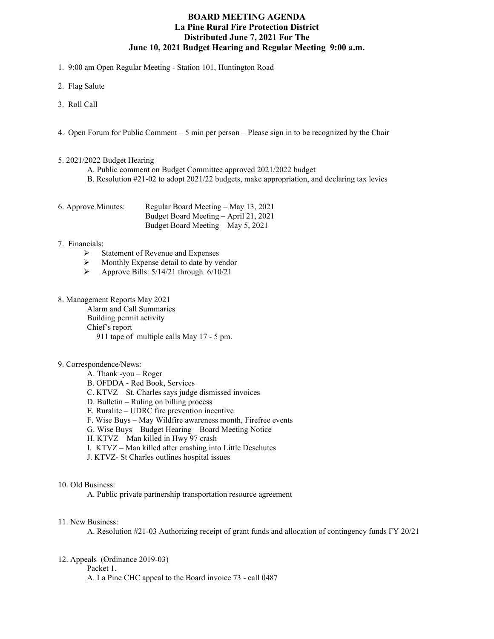# **BOARD MEETING AGENDA La Pine Rural Fire Protection District Distributed June 7, 2021 For The June 10, 2021 Budget Hearing and Regular Meeting 9:00 a.m.**

1. 9:00 am Open Regular Meeting - Station 101, Huntington Road

- 2. Flag Salute
- 3. Roll Call
- 4. Open Forum for Public Comment 5 min per person Please sign in to be recognized by the Chair

#### 5. 2021/2022 Budget Hearing

- A. Public comment on Budget Committee approved 2021/2022 budget
- B. Resolution #21-02 to adopt 2021/22 budgets, make appropriation, and declaring tax levies

| 6. Approve Minutes: | Regular Board Meeting – May 13, 2021  |
|---------------------|---------------------------------------|
|                     | Budget Board Meeting – April 21, 2021 |
|                     | Budget Board Meeting – May 5, 2021    |

### 7. Financials:

- $\triangleright$  Statement of Revenue and Expenses
- $\triangleright$  Monthly Expense detail to date by vendor<br> $\triangleright$  Approve Bills: 5/14/21 through 6/10/21
- Approve Bills: 5/14/21 through 6/10/21

## 8. Management Reports May 2021

Alarm and Call Summaries Building permit activity Chief's report 911 tape of multiple calls May 17 - 5 pm.

### 9. Correspondence/News:

- A. Thank -you Roger
- B. OFDDA Red Book, Services
- C. KTVZ St. Charles says judge dismissed invoices
- D. Bulletin Ruling on billing process
- E. Ruralite UDRC fire prevention incentive
- F. Wise Buys May Wildfire awareness month, Firefree events
- G. Wise Buys Budget Hearing Board Meeting Notice
- H. KTVZ Man killed in Hwy 97 crash
- I. KTVZ Man killed after crashing into Little Deschutes
- J. KTVZ- St Charles outlines hospital issues

#### 10. Old Business:

A. Public private partnership transportation resource agreement

### 11. New Business:

A. Resolution #21-03 Authorizing receipt of grant funds and allocation of contingency funds FY 20/21

### 12. Appeals (Ordinance 2019-03)

Packet 1.

A. La Pine CHC appeal to the Board invoice 73 - call 0487